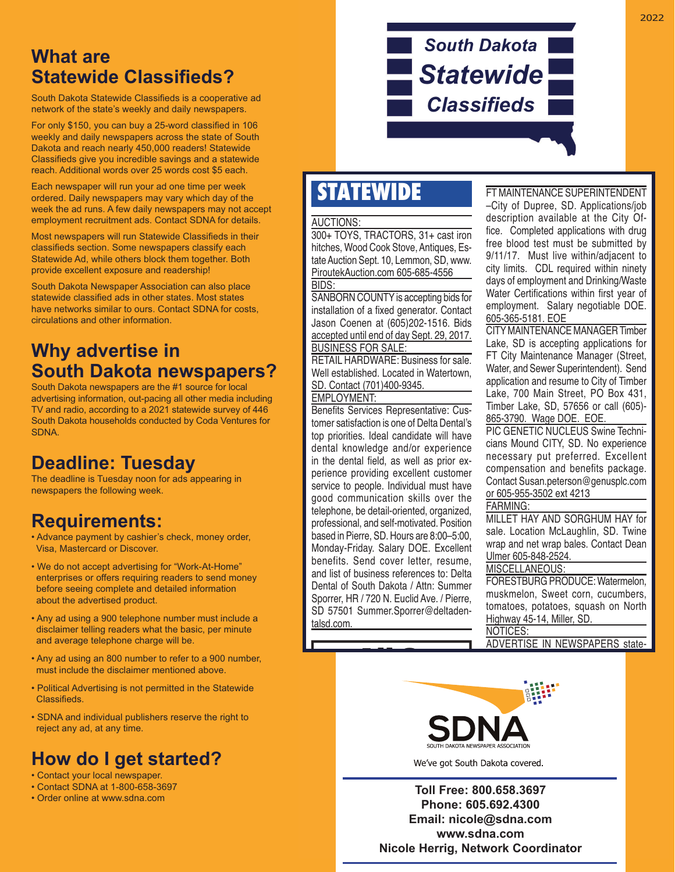### **What are Statewide Classifieds?**

South Dakota Statewide Classifieds is a cooperative ad network of the state's weekly and daily newspapers.

For only \$150, you can buy a 25-word classified in 106 weekly and daily newspapers across the state of South Dakota and reach nearly 450,000 readers! Statewide Classifieds give you incredible savings and a statewide reach. Additional words over 25 words cost \$5 each.

Each newspaper will run your ad one time per week ordered. Daily newspapers may vary which day of the week the ad runs. A few daily newspapers may not accept employment recruitment ads. Contact SDNA for details.

Most newspapers will run Statewide Classifieds in their classifieds section. Some newspapers classify each Statewide Ad, while others block them together. Both provide excellent exposure and readership!

South Dakota Newspaper Association can also place statewide classified ads in other states. Most states have networks similar to ours. Contact SDNA for costs, circulations and other information.

### **Why advertise in South Dakota newspapers?**

South Dakota newspapers are the #1 source for local advertising information, out-pacing all other media including TV and radio, according to a 2021 statewide survey of 446 South Dakota households conducted by Coda Ventures for **SDNA** 

### **Deadline: Tuesday**

The deadline is Tuesday noon for ads appearing in newspapers the following week.

# **Requirements:**

- Advance payment by cashier's check, money order, Visa, Mastercard or Discover.
- We do not accept advertising for "Work-At-Home" enterprises or offers requiring readers to send money before seeing complete and detailed information about the advertised product.
- Any ad using a 900 telephone number must include a disclaimer telling readers what the basic, per minute and average telephone charge will be.
- Any ad using an 800 number to refer to a 900 number, must include the disclaimer mentioned above.
- Political Advertising is not permitted in the Statewide Classifieds.
- SDNA and individual publishers reserve the right to reject any ad, at any time.

# **How do I get started?**

- Contact your local newspaper.
- Contact SDNA at 1-800-658-3697
- Order online at www.sdna.com

# *South Dakota Statewide* **Classifieds**

# **STATEWIDE** FTMAINTENANCE SUPERINTENDENT

#### AUCTIONS:

300+ TOYS, TRACTORS, 31+ cast iron hitches, Wood Cook Stove, Antiques, Estate Auction Sept. 10, Lemmon, SD, www. PiroutekAuction.com 605-685-4556 BIDS:

SANBORN COUNTY is accepting bids for installation of a fixed generator. Contact Jason Coenen at (605)202-1516. Bids accepted until end of day Sept. 29, 2017. BUSINESS FOR SALE:

RETAIL HARDWARE: Business for sale. Well established. Located in Watertown, SD. Contact (701)400-9345.

EMPLOYMENT:

Benefits Services Representative: Customer satisfaction is one of Delta Dental's top priorities. Ideal candidate will have dental knowledge and/or experience in the dental field, as well as prior experience providing excellent customer service to people. Individual must have good communication skills over the telephone, be detail-oriented, organized, professional, and self-motivated. Position based in Pierre, SD. Hours are 8:00–5:00, Monday-Friday. Salary DOE. Excellent benefits. Send cover letter, resume, and list of business references to: Delta Dental of South Dakota / Attn: Summer Sporrer, HR / 720 N. Euclid Ave. / Pierre, SD 57501 Summer.Sporrer@deltadentalsd.com.

All S

–City of Dupree, SD. Applications/job description available at the City Of tice. Completed applications with drug free blood test must be submitted by 9/11/17. Must live within/adjacent to city limits. CDL required within ninety days of employment and Drinking/Waste Water Certifications within first year of employment. Salary negotiable DOE. 605-365-5181. EOE

CITY MAINTENANCE MANAGER Timber Lake, SD is accepting applications for FT City Maintenance Manager (Street, Water, and Sewer Superintendent). Send application and resume to City of Timber Lake, 700 Main Street, PO Box 431, Timber Lake, SD, 57656 or call (605)- 865-3790. Wage DOE. EOE.

PIC GENETIC NUCLEUS Swine Technicians Mound CITY, SD. No experience necessary put preferred. Excellent compensation and benefits package. Contact Susan.peterson@genusplc.com or 605-955-3502 ext 4213 FARMING:

#### MILLET HAY AND SORGHUM HAY for sale. Location McLaughlin, SD. Twine wrap and net wrap bales. Contact Dean Ulmer 605-848-2524.

#### MISCELLANEOUS:

FORESTBURG PRODUCE: Watermelon, muskmelon, Sweet corn, cucumbers, tomatoes, potatoes, squash on North Highway 45-14, Miller, SD. NOTICES:

ADVERTISE IN NEWSPAPERS state-



We've got South Dakota covered.

**Toll FREE: 800.658.3697 Phone: 605.692.4300 Fax: 605.692.6388 Phone: 605.692.4300 statewides@sdna.com • www.sdna.com Email: nicole@sdna.com Nicole Herrig, Statewide Classifi ed Coordinator www.sdna.com Nicole Herrig, Network Coordinator**